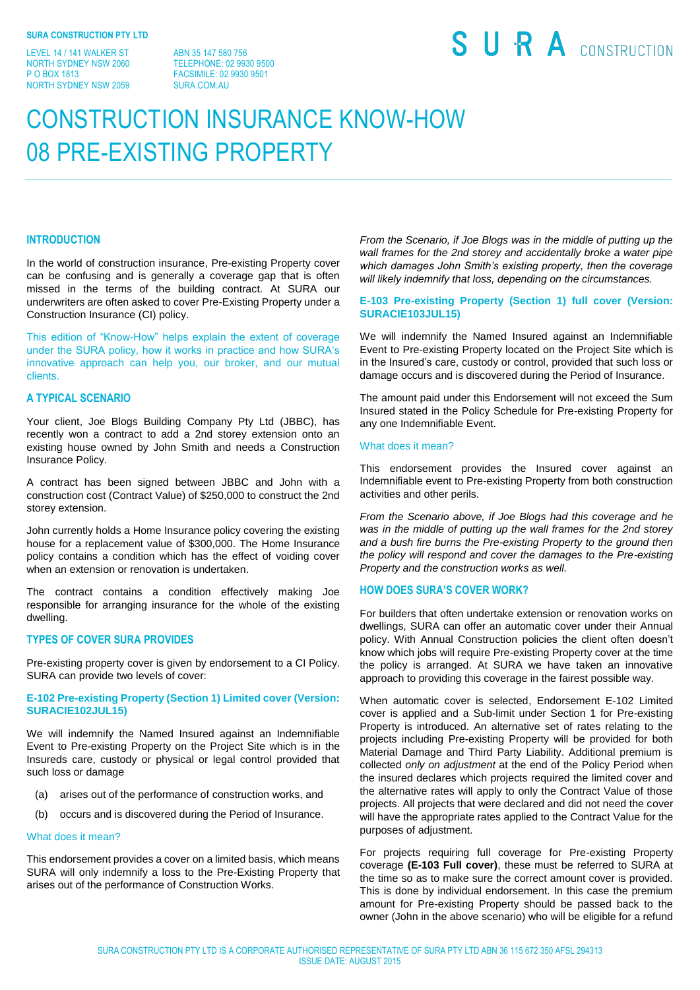LEVEL 14 / 141 WALKER ST NORTH SYDNEY NSW 2060 P O BOX 1813 NORTH SYDNEY NSW 2059

ABN 35 147 580 756 TELEPHONE: 02 9930 9500 FACSIMILE: 02 9930 9501 SURA COM AU

# SURA CONSTRUCTION

# CONSTRUCTION INSURANCE KNOW-HOW 08 PRE-EXISTING PROPERTY

## **INTRODUCTION**

In the world of construction insurance, Pre-existing Property cover can be confusing and is generally a coverage gap that is often missed in the terms of the building contract. At SURA our underwriters are often asked to cover Pre-Existing Property under a Construction Insurance (CI) policy.

This edition of "Know-How" helps explain the extent of coverage under the SURA policy, how it works in practice and how SURA's innovative approach can help you, our broker, and our mutual clients.

# **A TYPICAL SCENARIO**

Your client, Joe Blogs Building Company Pty Ltd (JBBC), has recently won a contract to add a 2nd storey extension onto an existing house owned by John Smith and needs a Construction Insurance Policy.

A contract has been signed between JBBC and John with a construction cost (Contract Value) of \$250,000 to construct the 2nd storey extension.

John currently holds a Home Insurance policy covering the existing house for a replacement value of \$300,000. The Home Insurance policy contains a condition which has the effect of voiding cover when an extension or renovation is undertaken.

The contract contains a condition effectively making Joe responsible for arranging insurance for the whole of the existing dwelling.

# **TYPES OF COVER SURA PROVIDES**

Pre-existing property cover is given by endorsement to a CI Policy. SURA can provide two levels of cover:

# **E-102 Pre-existing Property (Section 1) Limited cover (Version: SURACIE102JUL15)**

We will indemnify the Named Insured against an Indemnifiable Event to Pre-existing Property on the Project Site which is in the Insureds care, custody or physical or legal control provided that such loss or damage

- (a) arises out of the performance of construction works, and
- (b) occurs and is discovered during the Period of Insurance.

#### What does it mean?

This endorsement provides a cover on a limited basis, which means SURA will only indemnify a loss to the Pre-Existing Property that arises out of the performance of Construction Works.

*From the Scenario, if Joe Blogs was in the middle of putting up the wall frames for the 2nd storey and accidentally broke a water pipe which damages John Smith's existing property, then the coverage will likely indemnify that loss, depending on the circumstances.* 

# **E-103 Pre-existing Property (Section 1) full cover (Version: SURACIE103JUL15)**

We will indemnify the Named Insured against an Indemnifiable Event to Pre-existing Property located on the Project Site which is in the Insured's care, custody or control, provided that such loss or damage occurs and is discovered during the Period of Insurance.

The amount paid under this Endorsement will not exceed the Sum Insured stated in the Policy Schedule for Pre-existing Property for any one Indemnifiable Event.

#### What does it mean?

This endorsement provides the Insured cover against an Indemnifiable event to Pre-existing Property from both construction activities and other perils.

*From the Scenario above, if Joe Blogs had this coverage and he was in the middle of putting up the wall frames for the 2nd storey and a bush fire burns the Pre-existing Property to the ground then the policy will respond and cover the damages to the Pre-existing Property and the construction works as well.* 

# **HOW DOES SURA'S COVER WORK?**

For builders that often undertake extension or renovation works on dwellings, SURA can offer an automatic cover under their Annual policy. With Annual Construction policies the client often doesn't know which jobs will require Pre-existing Property cover at the time the policy is arranged. At SURA we have taken an innovative approach to providing this coverage in the fairest possible way.

When automatic cover is selected, Endorsement E-102 Limited cover is applied and a Sub-limit under Section 1 for Pre-existing Property is introduced. An alternative set of rates relating to the projects including Pre-existing Property will be provided for both Material Damage and Third Party Liability. Additional premium is collected *only on adjustment* at the end of the Policy Period when the insured declares which projects required the limited cover and the alternative rates will apply to only the Contract Value of those projects. All projects that were declared and did not need the cover will have the appropriate rates applied to the Contract Value for the purposes of adjustment.

For projects requiring full coverage for Pre-existing Property coverage **(E-103 Full cover)**, these must be referred to SURA at the time so as to make sure the correct amount cover is provided. This is done by individual endorsement. In this case the premium amount for Pre-existing Property should be passed back to the owner (John in the above scenario) who will be eligible for a refund